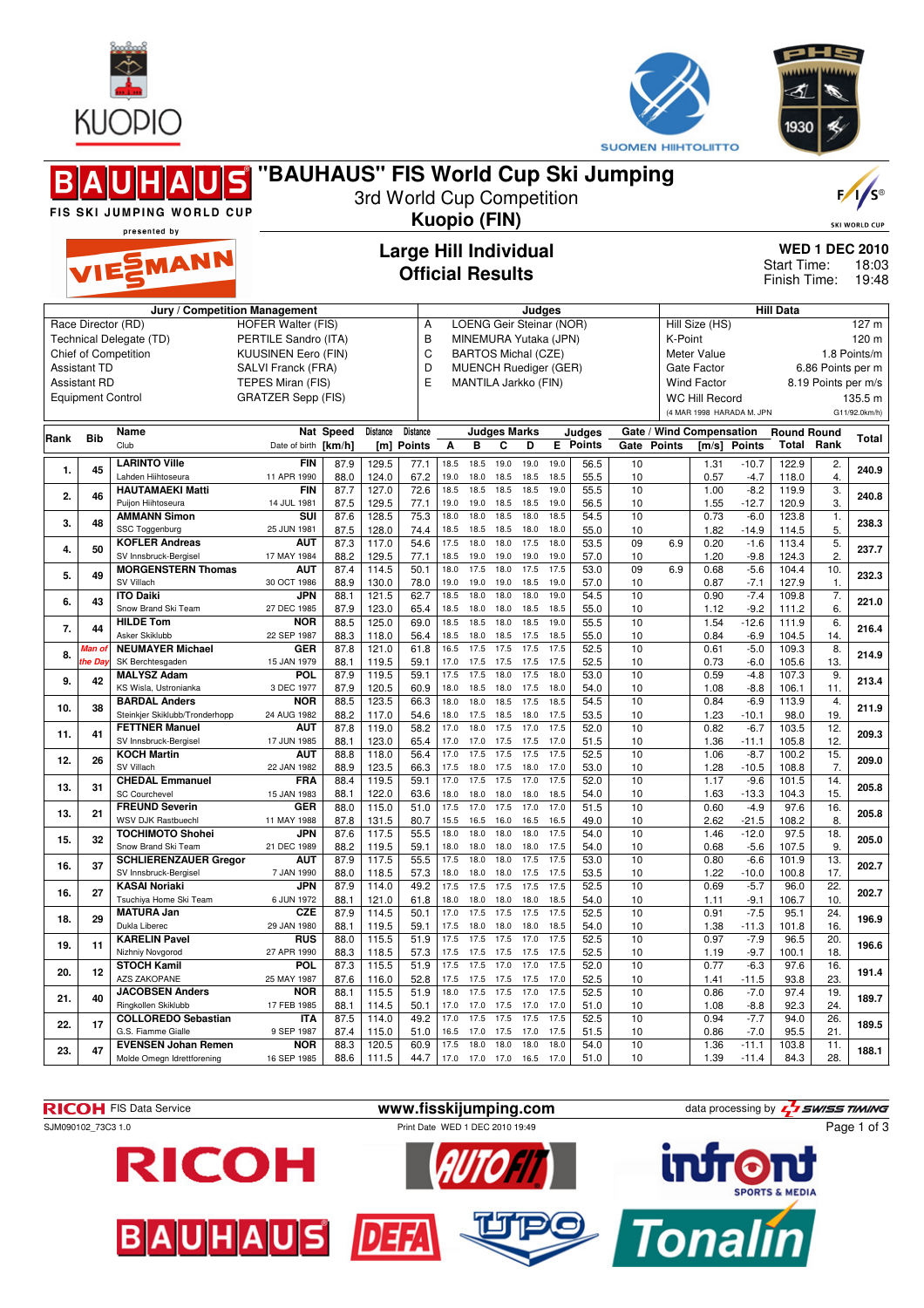



|      |                          |                                                          |                                     |                              |                |                 |              |                   |                          |                                                            |              |                         | <b>SUUMEN HIIHTULIITTU</b> |         |                                                       |                                               |                             |                          |                      |  |
|------|--------------------------|----------------------------------------------------------|-------------------------------------|------------------------------|----------------|-----------------|--------------|-------------------|--------------------------|------------------------------------------------------------|--------------|-------------------------|----------------------------|---------|-------------------------------------------------------|-----------------------------------------------|-----------------------------|--------------------------|----------------------|--|
|      |                          | BAUHAUS                                                  | "BAUHAUS" FIS World Cup Ski Jumping |                              |                |                 |              |                   |                          |                                                            |              |                         |                            |         |                                                       |                                               |                             |                          |                      |  |
|      |                          |                                                          |                                     | 3rd World Cup Competition    |                |                 |              |                   |                          |                                                            |              |                         |                            |         |                                                       |                                               |                             |                          | F/1/s                |  |
|      |                          | FIS SKI JUMPING WORLD CUP                                |                                     | <b>Kuopio (FIN)</b>          |                |                 |              |                   |                          |                                                            |              |                         |                            |         |                                                       |                                               |                             |                          | <b>SKI WORLD CUP</b> |  |
|      |                          | presented by                                             |                                     |                              |                |                 |              |                   |                          |                                                            |              |                         |                            |         |                                                       |                                               |                             |                          |                      |  |
|      |                          | VIESMANN                                                 |                                     | <b>Large Hill Individual</b> |                |                 |              |                   |                          |                                                            |              |                         |                            |         |                                                       | <b>WED 1 DEC 2010</b><br>Start Time:<br>18:03 |                             |                          |                      |  |
|      |                          |                                                          |                                     | <b>Official Results</b>      |                |                 |              |                   |                          |                                                            |              |                         |                            |         |                                                       |                                               | Finish Time:                |                          | 19:48                |  |
|      |                          |                                                          | Jury / Competition Management       |                              |                |                 |              |                   |                          | Judges                                                     |              |                         |                            |         |                                                       |                                               | <b>Hill Data</b>            |                          |                      |  |
|      |                          | Race Director (RD)                                       | <b>HOFER Walter (FIS)</b>           |                              |                | Α               |              |                   |                          | LOENG Geir Steinar (NOR)                                   |              |                         |                            |         | Hill Size (HS)                                        |                                               |                             |                          | 127 m                |  |
|      |                          | Technical Delegate (TD)                                  | PERTILE Sandro (ITA)                |                              |                | B<br>C          |              |                   |                          | MINEMURA Yutaka (JPN)                                      |              |                         |                            | K-Point |                                                       |                                               |                             | 120 m                    |                      |  |
|      | <b>Assistant TD</b>      | <b>Chief of Competition</b>                              | SALVI Franck (FRA)                  | <b>KUUSINEN Eero (FIN)</b>   |                |                 |              |                   |                          | <b>BARTOS Michal (CZE)</b><br><b>MUENCH Ruediger (GER)</b> |              |                         |                            |         | Meter Value<br>Gate Factor                            |                                               |                             | 6.86 Points per m        | 1.8 Points/m         |  |
|      | <b>Assistant RD</b>      |                                                          | TEPES Miran (FIS)                   |                              |                | D<br>E          |              |                   |                          | MANTILA Jarkko (FIN)                                       |              |                         |                            |         | <b>Wind Factor</b>                                    |                                               |                             | 8.19 Points per m/s      |                      |  |
|      | <b>Equipment Control</b> |                                                          | <b>GRATZER Sepp (FIS)</b>           |                              |                |                 |              |                   |                          |                                                            |              |                         |                            |         | <b>WC Hill Record</b>                                 |                                               |                             | 135.5 m                  |                      |  |
|      |                          | <b>Name</b>                                              |                                     | Nat Speed                    | Distance       | <b>Distance</b> |              |                   |                          |                                                            |              |                         |                            |         | (4 MAR 1998 HARADA M. JPN<br>Gate / Wind Compensation |                                               |                             |                          | G11/92.0km/h)        |  |
| Rank | <b>Bib</b>               | Club                                                     | Date of birth                       | [km/h]                       | [m]            | <b>Points</b>   | A            | B                 | <b>Judges Marks</b><br>C | D                                                          | E.           | Judges<br><b>Points</b> | Gate Points                |         | [m/s]                                                 | Points                                        | <b>Round Round</b><br>Total | Rank                     | Total                |  |
| 1.   | 45                       | <b>LARINTO Ville</b>                                     | <b>FIN</b>                          | 87.9                         | 129.5          | 77.1            | 18.5         | 18.5              | 19.0                     | 19.0                                                       | 19.0         | 56.5                    | 10                         |         | 1.31                                                  | $-10.7$                                       | 122.9                       | 2.                       | 240.9                |  |
|      |                          | Lahden Hiihtoseura<br><b>HAUTAMAEKI Matti</b>            | 11 APR 1990<br><b>FIN</b>           | 88.0<br>87.7                 | 124.0<br>127.0 | 67.2<br>72.6    | 19.0<br>18.5 | 18.0<br>18.5      | 18.5<br>18.5             | 18.5<br>18.5                                               | 18.5<br>19.0 | 55.5<br>55.5            | 10<br>10                   |         | 0.57<br>1.00                                          | $-4.7$<br>$-8.2$                              | 118.0<br>119.9              | 4.<br>3.                 |                      |  |
| 2.   | 46                       | Puijon Hiihtoseura                                       | 14 JUL 1981                         | 87.5                         | 129.5          | 77.1            | 19.0         | 19.0              | 18.5                     | 18.5                                                       | 19.0         | 56.5                    | 10                         |         | 1.55                                                  | $-12.7$                                       | 120.9                       | 3.                       | 240.8                |  |
| 3.   | 48                       | <b>AMMANN Simon</b><br>SSC Toggenburg                    | SUI<br>25 JUN 1981                  | 87.6<br>87.5                 | 128.5<br>128.0 | 75.3<br>74.4    | 18.0<br>18.5 | 18.0<br>18.5      | 18.5<br>18.5             | 18.0<br>18.0                                               | 18.5<br>18.0 | 54.5<br>55.0            | 10<br>10                   |         | 0.73<br>1.82                                          | $-6.0$<br>$-14.9$                             | 123.8<br>114.5              | 1.<br>5.                 | 238.3                |  |
| 4.   | 50                       | <b>KOFLER Andreas</b>                                    | AUT                                 | 87.3                         | 117.0          | 54.6            | 17.5         | 18.0              | 18.0                     | 17.5                                                       | 18.0         | 53.5                    | 09                         | 6.9     | 0.20                                                  | $-1.6$                                        | 113.4                       | 5.                       | 237.7                |  |
|      |                          | SV Innsbruck-Bergisel<br><b>MORGENSTERN Thomas</b>       | 17 MAY 1984<br><b>AUT</b>           | 88.2<br>87.4                 | 129.5<br>114.5 | 77.1<br>50.1    | 18.5<br>18.0 | 19.0<br>17.5      | 19.0<br>18.0             | 19.0<br>17.5                                               | 19.0<br>17.5 | 57.0<br>53.0            | 10<br>09                   | 6.9     | 1.20<br>0.68                                          | $-9.8$<br>$-5.6$                              | 124.3<br>104.4              | 2.<br>10.                |                      |  |
| 5.   | 49                       | SV Villach                                               | 30 OCT 1986                         | 88.9                         | 130.0          | 78.0            | 19.0         | 19.0              | 19.0                     | 18.5                                                       | 19.0         | 57.0                    | 10                         |         | 0.87                                                  | $-7.1$                                        | 127.9                       | $\mathbf{1}$ .           | 232.3                |  |
| 6.   | 43                       | <b>ITO Daiki</b><br>Snow Brand Ski Team                  | JPN<br>27 DEC 1985                  | 88.1<br>87.9                 | 121.5<br>123.0 | 62.7<br>65.4    | 18.5<br>18.5 | 18.0<br>18.0      | 18.0<br>18.0             | 18.0<br>18.5                                               | 19.0<br>18.5 | 54.5<br>55.0            | 10<br>10                   |         | 0.90<br>1.12                                          | $-7.4$<br>$-9.2$                              | 109.8<br>111.2              | $\overline{7}$ .<br>6.   | 221.0                |  |
| 7.   | 44                       | <b>HILDE Tom</b><br>Asker Skiklubb                       | <b>NOR</b><br>22 SEP 1987           | 88.5                         | 125.0          | 69.0            | 18.5<br>18.5 | 18.5<br>18.0      | 18.0<br>18.5             | 18.5<br>17.5                                               | 19.0<br>18.5 | 55.5                    | 10                         |         | 1.54                                                  | $-12.6$                                       | 111.9                       | 6.                       | 216.4                |  |
| 8.   | Vlan o                   | <b>NEUMAYER Michael</b>                                  | <b>GER</b>                          | 88.3<br>87.8                 | 118.0<br>121.0 | 56.4<br>61.8    | 16.5         | 17.5              | 17.5                     | 17.5                                                       | 17.5         | 55.0<br>52.5            | 10<br>10                   |         | 0.84<br>0.61                                          | $-6.9$<br>$-5.0$                              | 104.5<br>109.3              | 14.<br>8.                | 214.9                |  |
|      | he Da                    | SK Berchtesgaden<br><b>MALYSZ Adam</b>                   | 15 JAN 1979<br><b>POL</b>           | 88.1<br>87.9                 | 119.5<br>119.5 | 59.1<br>59.1    | 17.0<br>17.5 | 17.5<br>17.5      | 17.5<br>18.0             | 17.5<br>17.5                                               | 17.5<br>18.0 | 52.5<br>53.0            | 10<br>10                   |         | 0.73<br>0.59                                          | $-6.0$<br>$-4.8$                              | 105.6<br>107.3              | 13.<br>9.                |                      |  |
| 9.   | 42                       | KS Wisla, Ustronianka                                    | 3 DEC 1977                          | 87.9                         | 120.5          | 60.9            | 18.0         | 18.5              | 18.0                     | 17.5                                                       | 18.0         | 54.0                    | 10                         |         | 1.08                                                  | $-8.8$                                        | 106.1                       | 11.                      | 213.4                |  |
| 10.  | 38                       | <b>BARDAL Anders</b><br>Steinkier Skiklubb/Tronderhopp   | <b>NOR</b><br>24 AUG 1982           | 88.5<br>88.2                 | 123.5<br>117.0 | 66.3<br>54.6    | 18.0<br>18.0 | 18.0<br>17.5      | 18.5<br>18.5             | 17.5<br>18.0                                               | 18.5<br>17.5 | 54.5<br>53.5            | 10<br>10                   |         | 0.84<br>1.23                                          | $-6.9$<br>$-10.1$                             | 113.9<br>98.0               | 4.<br>19.                | 211.9                |  |
| 11.  | 41                       | <b>FETTNER Manuel</b>                                    | <b>AUT</b>                          | 87.8                         | 119.0          | 58.2            | 17.0         | 18.0              | 17.5                     | 17.0                                                       | 17.5         | 52.0                    | 10                         |         | 0.82                                                  | $-6.7$                                        | 103.5                       | 12.                      | 209.3                |  |
|      |                          | SV Innsbruck-Bergisel<br><b>KOCH Martin</b>              | 17 JUN 1985<br><b>AUT</b>           | 88.1<br>88.8                 | 123.0<br>118.0 | 65.4<br>56.4    | 17.0<br>17.0 | 17.0<br>17.5      | 17.5<br>17.5             | 17.5<br>17.5                                               | 17.0<br>17.5 | 51.5<br>52.5            | 10<br>10                   |         | 1.36<br>1.06                                          | $-11.1$<br>$-8.7$                             | 105.8<br>100.2              | 12.<br>15.               |                      |  |
| 12.  | 26                       | SV Villach                                               | 22 JAN 1982                         | 88.9                         | 123.5          | 66.3            | 17.5         | 18.0              | 17.5                     | 18.0                                                       | 17.0         | 53.0                    | 10                         |         | 1.28                                                  | $-10.5$                                       | 108.8                       | 7.                       | 209.0                |  |
| 13.  | 31                       | <b>CHEDAL Emmanuel</b><br><b>SC Courchevel</b>           | <b>FRA</b><br>15 JAN 1983           | 88.4<br>88.1                 | 119.5<br>122.0 | 59.1<br>63.6    | 17.0<br>18.0 | 17.5<br>18.0 18.0 | 17.5                     | 17.0<br>18.0                                               | 17.5<br>18.5 | 52.0<br>54.0            | 10<br>10                   |         | 1.17<br>1.63                                          | $-9.6$<br>$-13.3$                             | 101.5<br>104.3              | 14.<br>15.               | 205.8                |  |
| 13.  | 21                       | <b>FREUND Severin</b>                                    | <b>GER</b>                          | 88.0                         | 115.0          | 51.0            | 17.5         | 17.0              | 17.5                     | 17.0                                                       | 17.0         | 51.5                    | 10                         |         | 0.60                                                  | $-4.9$                                        | 97.6                        | 16.                      | 205.8                |  |
|      |                          | <b>WSV DJK Rastbuechl</b><br><b>TOCHIMOTO Shohei</b>     | 11 MAY 1988<br>JPN                  | 87.8<br>87.6                 | 131.5<br>117.5 | 80.7<br>55.5    | 15.5<br>18.0 | 16.5<br>18.0      | 16.0<br>18.0             | 16.5<br>18.0                                               | 16.5<br>17.5 | 49.0<br>54.0            | 10<br>10                   |         | 2.62<br>1.46                                          | $-21.5$<br>$-12.0$                            | 108.2<br>97.5               | 8.<br>18.                |                      |  |
| 15.  | 32                       | Snow Brand Ski Team                                      | 21 DEC 1989                         | 88.2                         | 119.5          | 59.1            | 18.0         | 18.0              | 18.0                     | 18.0                                                       | 17.5         | 54.0                    | 10                         |         | 0.68                                                  | $-5.6$                                        | 107.5                       | 9.                       | 205.0                |  |
| 16.  | 37                       | <b>SCHLIERENZAUER Gregor</b><br>SV Innsbruck-Bergisel    | <b>AUT</b><br>7 JAN 1990            | 87.9<br>88.0                 | 117.5<br>118.5 | 55.5<br>57.3    | 17.5<br>18.0 | 18.0<br>18.0      | 18.0<br>18.0             | 17.5<br>17.5                                               | 17.5<br>17.5 | 53.0<br>53.5            | 10<br>10                   |         | 0.80<br>1.22                                          | $-6.6$<br>$-10.0$                             | 101.9<br>100.8              | 13.<br>17.               | 202.7                |  |
| 16.  | 27                       | <b>KASAI Noriaki</b><br>Tsuchiya Home Ski Team           | JPN<br>6 JUN 1972                   | 87.9<br>88.1                 | 114.0<br>121.0 | 49.2<br>61.8    | 17.5<br>18.0 | 18.0              | 17.5 17.5<br>18.0        | 17.5<br>18.0                                               | 17.5<br>18.5 | 52.5<br>54.0            | 10<br>10                   |         | 0.69                                                  | $-5.7$<br>$-9.1$                              | 96.0<br>106.7               | $\overline{22}$ .<br>10. | 202.7                |  |
| 18.  | 29                       | <b>MATURA Jan</b>                                        | <b>CZE</b>                          | 87.9                         | 114.5          | 50.1            | 17.0         | 17.5 17.5         |                          | 17.5                                                       | 17.5         | 52.5                    | 10                         |         | 1.11<br>0.91                                          | $-7.5$                                        | 95.1                        | 24.                      | 196.9                |  |
|      |                          | Dukla Liberec<br><b>KARELIN Pavel</b>                    | 29 JAN 1980<br><b>RUS</b>           | 88.1<br>88.0                 | 119.5<br>115.5 | 59.1<br>51.9    | 17.5<br>17.5 | 18.0<br>17.5      | 18.0<br>17.5             | 18.0<br>17.0                                               | 18.5<br>17.5 | 54.0<br>52.5            | 10<br>10                   |         | 1.38<br>0.97                                          | $-11.3$<br>$-7.9$                             | 101.8<br>96.5               | 16.<br>20.               |                      |  |
| 19.  | 11                       | Nizhniy Novgorod                                         | 27 APR 1990                         | 88.3                         | 118.5          | 57.3            | 17.5         | 17.5 17.5         |                          | 17.5                                                       | 17.5         | 52.5                    | 10                         |         | 1.19                                                  | $-9.7$                                        | 100.1                       | 18.                      | 196.6                |  |
| 20.  | 12                       | <b>STOCH Kamil</b><br>AZS ZAKOPANE                       | <b>POL</b><br>25 MAY 1987           | 87.3<br>87.6                 | 115.5<br>116.0 | 51.9<br>52.8    | 17.5<br>17.5 | 17.5<br>17.5 17.5 | 17.0                     | 17.0<br>17.5                                               | 17.5<br>17.0 | 52.0<br>52.5            | 10<br>10                   |         | 0.77<br>1.41                                          | $-6.3$<br>$-11.5$                             | 97.6<br>93.8                | 16.<br>23.               | 191.4                |  |
| 21.  | 40                       | <b>JACOBSEN Anders</b>                                   | <b>NOR</b>                          | 88.1                         | 115.5          | 51.9            | 18.0         | 17.5              | 17.5                     | 17.0                                                       | 17.5         | 52.5                    | 10                         |         | 0.86                                                  | $-7.0$                                        | 97.4                        | 19.                      | 189.7                |  |
|      |                          | Ringkollen Skiklubb<br><b>COLLOREDO Sebastian</b>        | 17 FEB 1985<br>ITA                  | 88.1<br>87.5                 | 114.5<br>114.0 | 50.1<br>49.2    | 17.0<br>17.0 | 17.0 17.5<br>17.5 | 17.5                     | 17.0<br>17.5                                               | 17.0<br>17.5 | 51.0<br>52.5            | 10<br>10                   |         | 1.08<br>0.94                                          | $-8.8$<br>$-7.7$                              | 92.3<br>94.0                | 24.<br>26.               |                      |  |
| 22.  | 17                       | G.S. Fiamme Gialle                                       | 9 SEP 1987                          | 87.4                         | 115.0          | 51.0            | 16.5         |                   | 17.0 17.5                | 17.0                                                       | 17.5         | 51.5                    | 10                         |         | 0.86                                                  | $-7.0$                                        | 95.5                        | 21.                      | 189.5                |  |
| 23.  | 47                       | <b>EVENSEN Johan Remen</b><br>Molde Omegn Idrettforening | <b>NOR</b><br>16 SEP 1985           | 88.3<br>88.6                 | 120.5<br>111.5 | 60.9<br>44.7    | 17.5<br>17.0 | 17.0 17.0         | 18.0 18.0                | 18.0<br>16.5                                               | 18.0<br>17.0 | 54.0<br>51.0            | 10<br>10                   |         | 1.36<br>1.39                                          | $-11.1$<br>$-11.4$                            | 103.8<br>84.3               | 11.<br>28.               | 188.1                |  |
|      |                          |                                                          |                                     |                              |                |                 |              |                   |                          |                                                            |              |                         |                            |         |                                                       |                                               |                             |                          |                      |  |

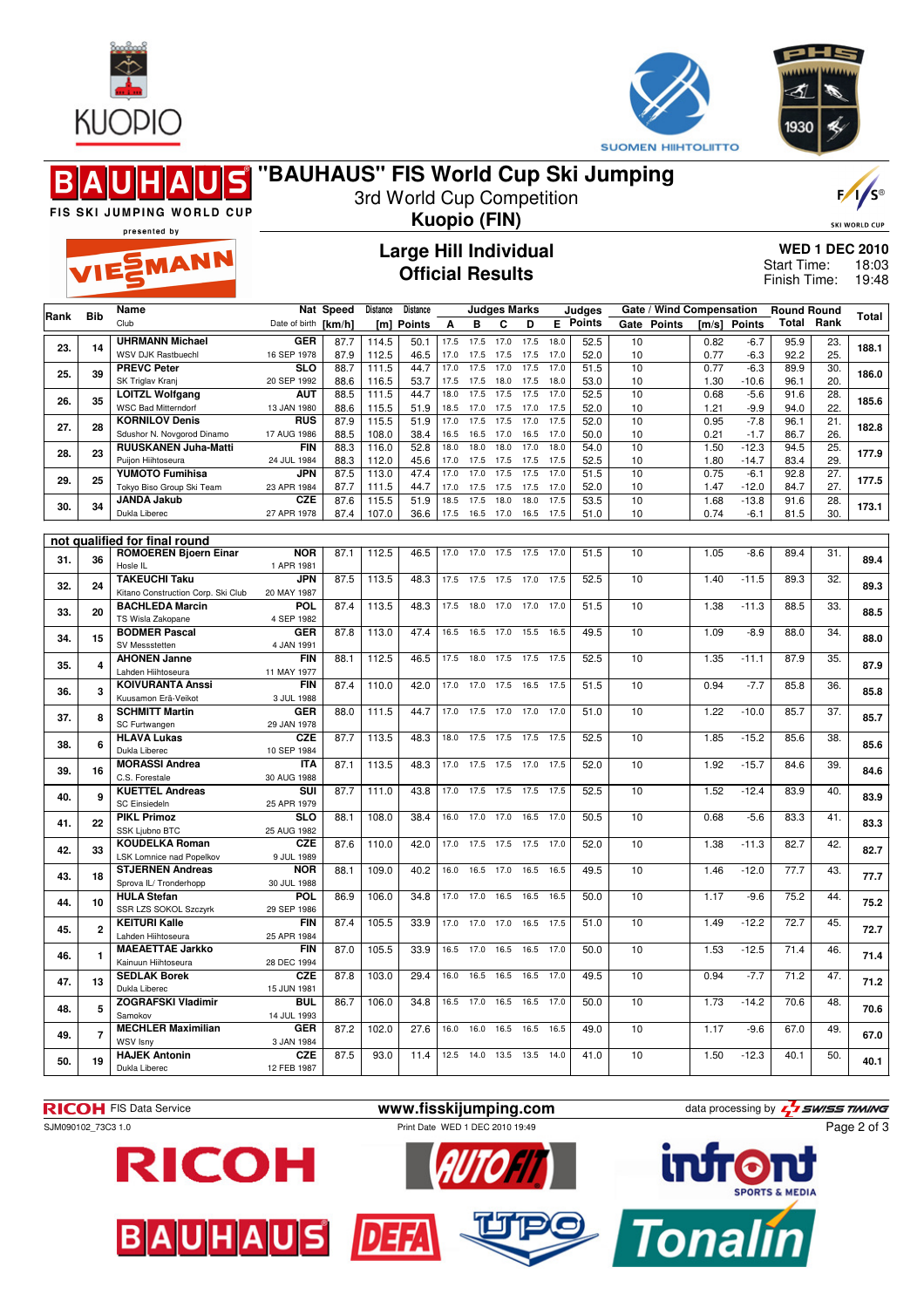



≼

|      |                | FIS SKI JUMPING WORLD CUP<br>presented by                     | "BAUHAUS" FIS World Cup Ski Jumping |              |                 | 3rd World Cup Competition                               |              |                | <b>Kuopio (FIN)</b>      |              |              |                           |          |                                    |              |                    |                             |                        | $F / \sqrt{S^{\circ}}$<br><b>SKI WORLD CUP</b> |
|------|----------------|---------------------------------------------------------------|-------------------------------------|--------------|-----------------|---------------------------------------------------------|--------------|----------------|--------------------------|--------------|--------------|---------------------------|----------|------------------------------------|--------------|--------------------|-----------------------------|------------------------|------------------------------------------------|
|      |                | VIESMANN                                                      |                                     |              |                 | <b>Large Hill Individual</b><br><b>Official Results</b> |              |                |                          |              |              |                           |          |                                    |              |                    | Start Time:<br>Finish Time: |                        | <b>WED 1 DEC 2010</b><br>18:03<br>19:48        |
| Rank | <b>Bib</b>     | Name<br>Club                                                  | Date of birth [km/h]                | Nat Speed    | Distance<br>[m] | Distance<br><b>Points</b>                               | Α            | в              | Judges Marks<br>С        | D            |              | Judges<br><b>E</b> Points | Gate     | Gate / Wind Compensation<br>Points | [m/s]        | <b>Points</b>      | <b>Round Round</b><br>Total | Rank                   | Total                                          |
| 23.  | 14             | <b>UHRMANN Michael</b><br><b>WSV DJK Rastbuechl</b>           | <b>GER</b>                          | 87.7<br>87.9 | 114.5           | 50.1                                                    | 17.5         | 17.5           | 17.0                     | 17.5         | 18.0         | 52.5<br>52.0              | 10       |                                    | 0.82         | $-6.7$<br>$-6.3$   | 95.9<br>92.2                | 23.                    | 188.1                                          |
| 25.  | 39             | <b>PREVC Peter</b>                                            | 16 SEP 1978<br><b>SLO</b>           | 88.7         | 112.5<br>111.5  | 46.5<br>44.7                                            | 17.0<br>17.0 | 17.5<br>17.5   | 17.5<br>17.0             | 17.5<br>17.5 | 17.0<br>17.0 | 51.5                      | 10<br>10 |                                    | 0.77<br>0.77 | $-6.3$             | 89.9                        | 25.<br>30.             | 186.0                                          |
|      |                | SK Triglav Kranj<br><b>LOITZL Wolfgang</b>                    | 20 SEP 1992<br>AUT                  | 88.6<br>88.5 | 116.5<br>111.5  | 53.7<br>44.7                                            | 17.5<br>18.0 | 17.5<br>17.5   | 18.0<br>17.5             | 17.5<br>17.5 | 18.0<br>17.0 | 53.0<br>52.5              | 10<br>10 |                                    | 1.30<br>0.68 | $-10.6$<br>$-5.6$  | 96.1<br>91.6                | 20.<br>28.             |                                                |
| 26.  | 35             | <b>WSC Bad Mitterndorf</b><br><b>KORNILOV Denis</b>           | 13 JAN 1980<br><b>RUS</b>           | 88.6<br>87.9 | 115.5<br>115.5  | 51.9<br>51.9                                            | 18.5<br>17.0 | 17.0<br>17.5   | 17.5<br>17.5             | 17.0<br>17.0 | 17.5<br>17.5 | 52.0<br>52.0              | 10<br>10 |                                    | 1.21<br>0.95 | $-9.9$<br>$-7.8$   | 94.0<br>96.1                | 22.<br>21.             | 185.6                                          |
| 27.  | 28             | Sdushor N. Novgorod Dinamo                                    | 17 AUG 1986                         | 88.5         | 108.0           | 38.4                                                    | 16.5         | 16.5           | 17.0                     | 16.5         | 17.0         | 50.0                      | 10       |                                    | 0.21         | $-1.7$             | 86.7                        | 26.                    | 182.8                                          |
| 28.  | 23             | <b>RUUSKANEN Juha-Matti</b><br>Puijon Hiihtoseura             | <b>FIN</b><br>24 JUL 1984           | 88.3<br>88.3 | 116.0<br>112.0  | 52.8<br>45.6                                            | 18.0<br>17.0 | 18.0<br>17.5   | 18.0<br>17.5             | 17.0<br>17.5 | 18.0<br>17.5 | 54.0<br>52.5              | 10<br>10 |                                    | 1.50<br>1.80 | $-12.3$<br>$-14.7$ | 94.5<br>83.4                | $\overline{25}$<br>29. | 177.9                                          |
| 29.  | 25             | <b>YUMOTO Fumihisa</b><br>Tokyo Biso Group Ski Team           | JPN<br>23 APR 1984                  | 87.5<br>87.7 | 113.0<br>111.5  | 47.4<br>44.7                                            | 17.0<br>17.0 | 17.0<br>17.5   | 17.5<br>17.5             | 17.5<br>17.5 | 17.0<br>17.0 | 51.5<br>52.0              | 10<br>10 |                                    | 0.75<br>1.47 | $-6.1$<br>$-12.0$  | 92.8<br>84.7                | 27.<br>27.             | 177.5                                          |
| 30.  | 34             | <b>JANDA Jakub</b><br>Dukla Liberec                           | CZE<br>27 APR 1978                  | 87.6<br>87.4 | 115.5<br>107.0  | 51.9<br>36.6                                            | 18.5<br>17.5 | 17.5<br>16.5   | 18.0<br>17.0             | 18.0<br>16.5 | 17.5<br>17.5 | 53.5<br>51.0              | 10<br>10 |                                    | 1.68<br>0.74 | $-13.8$<br>$-6.1$  | 91.6<br>81.5                | 28.<br>30.             | 173.1                                          |
|      |                |                                                               |                                     |              |                 |                                                         |              |                |                          |              |              |                           |          |                                    |              |                    |                             |                        |                                                |
| 31.  | 36             | not qualified for final round<br><b>ROMOEREN Bjoern Einar</b> | <b>NOR</b>                          | 87.1         | 112.5           | 46.5                                                    | 17.0         | 17.0           | 17.5                     | 17.5         | 17.0         | 51.5                      | 10       |                                    | 1.05         | $-8.6$             | 89.4                        | 31.                    | 89.4                                           |
|      |                | Hosle IL<br><b>TAKEUCHI Taku</b>                              | 1 APR 1981<br>JPN                   | 87.5         | 113.5           | 48.3                                                    | 17.5         | 17.5           | 17.5                     | 17.0         | 17.5         | 52.5                      | 10       |                                    | 1.40         | $-11.5$            | 89.3                        | 32.                    |                                                |
| 32.  | 24             | Kitano Construction Corp. Ski Club                            | 20 MAY 1987                         |              |                 |                                                         |              |                |                          |              |              |                           |          |                                    |              |                    |                             |                        | 89.3                                           |
| 33.  | 20             | <b>BACHLEDA Marcin</b><br>TS Wisla Zakopane                   | POL<br>4 SEP 1982                   | 87.4         | 113.5           | 48.3                                                    | 17.5         | 18.0           | 17.0                     | 17.0         | 17.0         | 51.5                      | 10       |                                    | 1.38         | $-11.3$            | 88.5                        | 33.                    | 88.5                                           |
| 34.  | 15             | <b>BODMER Pascal</b><br>SV Messstetten                        | <b>GER</b><br>4 JAN 1991            | 87.8         | 113.0           | 47.4                                                    | 16.5         | 16.5           | 17.0                     | 15.5         | 16.5         | 49.5                      | 10       |                                    | 1.09         | $-8.9$             | 88.0                        | 34.                    | 88.0                                           |
| 35.  | 4              | <b>AHONEN Janne</b><br>Lahden Hiihtoseura                     | <b>FIN</b><br>11 MAY 1977           | 88.1         | 112.5           | 46.5                                                    | 17.5         | 18.0           | 17.5                     | 17.5         | 17.5         | 52.5                      | 10       |                                    | 1.35         | $-11.1$            | 87.9                        | 35.                    | 87.9                                           |
| 36.  | 3              | <b>KOIVURANTA Anssi</b>                                       | <b>FIN</b>                          | 87.4         | 110.0           | 42.0                                                    | 17.0         | 17.0           | 17.5                     | 16.5         | 17.5         | 51.5                      | 10       |                                    | 0.94         | $-7.7$             | 85.8                        | 36.                    | 85.8                                           |
| 37.  | 8              | Kuusamon Erä-Veikot<br><b>SCHMITT Martin</b>                  | 3 JUL 1988<br><b>GER</b>            | 88.0         | 111.5           | 44.7                                                    | 17.0         | 17.5           | 17.0                     | 17.0         | 17.0         | 51.0                      | 10       |                                    | 1.22         | $-10.0$            | 85.7                        | 37.                    | 85.7                                           |
|      |                | SC Furtwangen<br><b>HLAVA Lukas</b>                           | 29 JAN 1978<br><b>CZE</b>           | 87.7         | 113.5           | 48.3                                                    | 18.0         | 17.5           | 17.5                     | 17.5         | 17.5         | 52.5                      | 10       |                                    | 1.85         | $-15.2$            | 85.6                        | 38.                    |                                                |
| 38.  | 6              | Dukla Liberec<br><b>MORASSI Andrea</b>                        | 10 SEP 1984<br><b>ITA</b>           | 87.1         | 113.5           | 48.3                                                    | 17.0         | 17.5           | 17.5                     | 17.0         | 17.5         | 52.0                      | 10       |                                    | 1.92         | $-15.7$            | 84.6                        | 39.                    | 85.6                                           |
| 39.  | 16             | C.S. Forestale                                                | 30 AUG 1988                         |              |                 |                                                         |              |                |                          |              |              |                           |          |                                    |              |                    |                             |                        | 84.6                                           |
| 40.  | 9              | <b>KUETTEL Andreas</b><br><b>SC Einsiedeln</b>                | SUI<br>25 APR 1979                  | 87.7         | 111.0           | 43.8                                                    | 17.0         | 17.5           | 17.5                     | 17.5         | 17.5         | 52.5                      | 10       |                                    | 1.52         | $-12.4$            | 83.9                        | 40.                    | 83.9                                           |
| 41.  | 22             | <b>PIKL Primoz</b><br>SSK Ljubno BTC                          | <b>SLO</b><br>25 AUG 1982           | 88.1         | 108.0           | 38.4                                                    | 16.0         | 17.0           | 17.0                     | 16.5         | 17.0         | 50.5                      | 10       |                                    | 0.68         | $-5.6$             | 83.3                        | 41.                    | 83.3                                           |
| 42.  | 33             | <b>KOUDELKA Roman</b>                                         | <b>CZE</b>                          | 87.6         | 110.0           | 42.0                                                    | 17.0         | 17.5           | 17.5                     | 17.5         | 17.0         | 52.0                      | 10       |                                    | 1.38         | $-11.3$            | 82.7                        | 42.                    | 82.7                                           |
| 43.  | 18             | LSK Lomnice nad Popelkov<br><b>STJERNEN Andreas</b>           | 9 JUL 1989<br><b>NOR</b>            | 88.1         | 109.0           | 40.2                                                    |              |                | 16.0 16.5 17.0 16.5 16.5 |              |              | 49.5                      | 10       |                                    | 1.46         | $-12.0$            | 77.7                        | 43.                    | 77.7                                           |
|      |                | Sprova IL/ Tronderhopp<br><b>HULA Stefan</b>                  | 30 JUL 1988<br><b>POL</b>           | 86.9         | 106.0           | 34.8                                                    |              |                | 17.0 17.0 16.5 16.5      |              | 16.5         | 50.0                      | 10       |                                    | 1.17         | $-9.6$             | 75.2                        | 44.                    |                                                |
| 44.  | 10             | SSR LZS SOKOL Szczyrk<br><b>KEITURI Kalle</b>                 | 29 SEP 1986<br><b>FIN</b>           | 87.4         | 105.5           | 33.9                                                    |              |                | 17.0 17.0 17.0 16.5      |              | 17.5         | 51.0                      | 10       |                                    | 1.49         | $-12.2$            | 72.7                        | 45.                    | 75.2                                           |
| 45.  | $\mathbf{2}$   | Lahden Hiihtoseura                                            | 25 APR 1984                         |              |                 |                                                         |              |                |                          |              |              |                           |          |                                    |              |                    |                             |                        | 72.7                                           |
| 46.  | 1              | <b>MAEAETTAE Jarkko</b><br>Kainuun Hiihtoseura                | FIN<br>28 DEC 1994                  | 87.0         | 105.5           | 33.9                                                    |              | 16.5 17.0 16.5 |                          | 16.5         | 17.0         | 50.0                      | 10       |                                    | 1.53         | $-12.5$            | 71.4                        | 46.                    | 71.4                                           |
| 47.  | 13             | <b>SEDLAK Borek</b><br>Dukla Liberec                          | <b>CZE</b><br>15 JUN 1981           | 87.8         | 103.0           | 29.4                                                    |              |                | 16.0 16.5 16.5 16.5 17.0 |              |              | 49.5                      | 10       |                                    | 0.94         | $-7.7$             | 71.2                        | 47.                    | 71.2                                           |
| 48.  | 5              | <b>ZOGRAFSKI Vladimir</b><br>Samokov                          | <b>BUL</b><br>14 JUL 1993           | 86.7         | 106.0           | 34.8                                                    |              |                | 16.5 17.0 16.5 16.5      |              | 17.0         | 50.0                      | 10       |                                    | 1.73         | $-14.2$            | 70.6                        | 48.                    | 70.6                                           |
| 49.  | $\overline{7}$ | <b>MECHLER Maximilian</b>                                     | <b>GER</b>                          | 87.2         | 102.0           | 27.6                                                    |              |                | 16.0 16.0 16.5 16.5      |              | 16.5         | 49.0                      | 10       |                                    | 1.17         | $-9.6$             | 67.0                        | 49.                    | 67.0                                           |
|      |                | WSV Isny<br><b>HAJEK Antonin</b>                              | 3 JAN 1984<br>CZE                   | 87.5         | 93.0            | 11.4                                                    |              |                | 12.5 14.0 13.5 13.5 14.0 |              |              | 41.0                      | 10       |                                    | 1.50         | $-12.3$            | 40.1                        | 50.                    |                                                |
| 50.  | 19             | Dukla Liberec                                                 | 12 FEB 1987                         |              |                 |                                                         |              |                |                          |              |              |                           |          |                                    |              |                    |                             |                        | 40.1                                           |